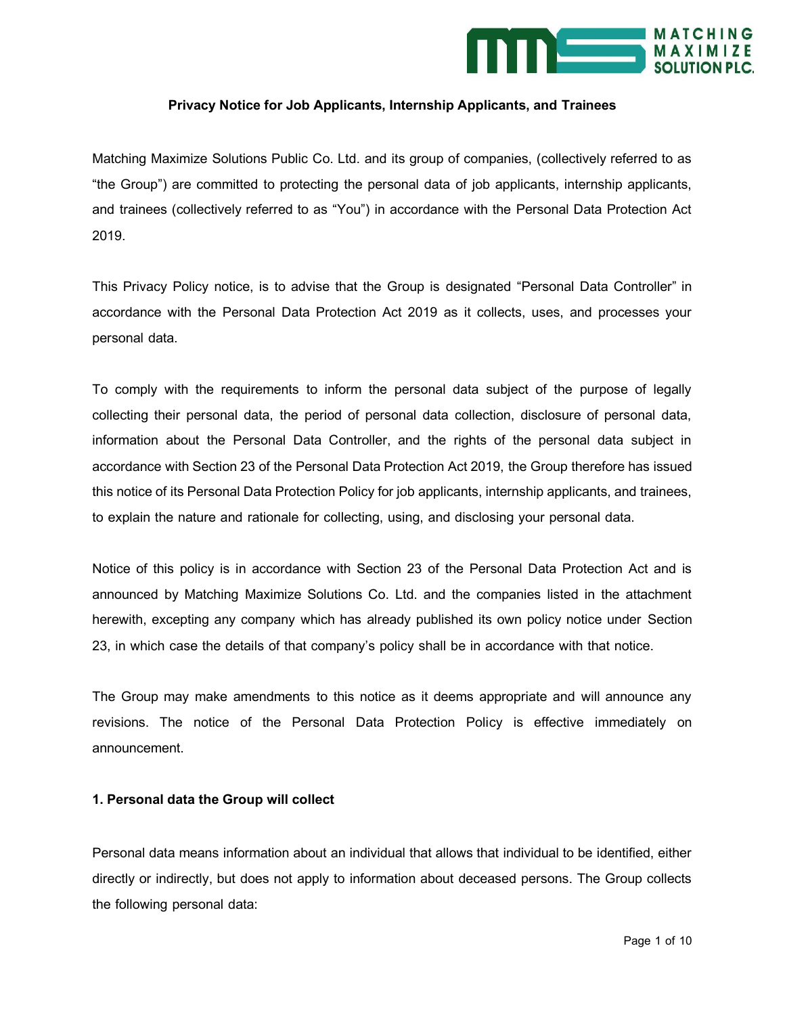

## **Privacy Notice for Job Applicants, Internship Applicants, and Trainees**

Matching Maximize Solutions Public Co. Ltd. and its group of companies, (collectively referred to as "the Group") are committed to protecting the personal data of job applicants, internship applicants, and trainees (collectively referred to as "You") in accordance with the Personal Data Protection Act 2019.

This Privacy Policy notice, is to advise that the Group is designated "Personal Data Controller" in accordance with the Personal Data Protection Act 2019 as it collects, uses, and processes your personal data.

To comply with the requirements to inform the personal data subject of the purpose of legally collecting their personal data, the period of personal data collection, disclosure of personal data, information about the Personal Data Controller, and the rights of the personal data subject in accordance with Section 23 of the Personal Data Protection Act 2019, the Group therefore has issued this notice of its Personal Data Protection Policy for job applicants, internship applicants, and trainees, to explain the nature and rationale for collecting, using, and disclosing your personal data.

Notice of this policy is in accordance with Section 23 of the Personal Data Protection Act and is announced by Matching Maximize Solutions Co. Ltd. and the companies listed in the attachment herewith, excepting any company which has already published its own policy notice under Section 23, in which case the details of that company's policy shall be in accordance with that notice.

The Group may make amendments to this notice as it deems appropriate and will announce any revisions. The notice of the Personal Data Protection Policy is effective immediately on announcement.

#### **1. Personal data the Group will collect**

Personal data means information about an individual that allows that individual to be identified, either directly or indirectly, but does not apply to information about deceased persons. The Group collects the following personal data: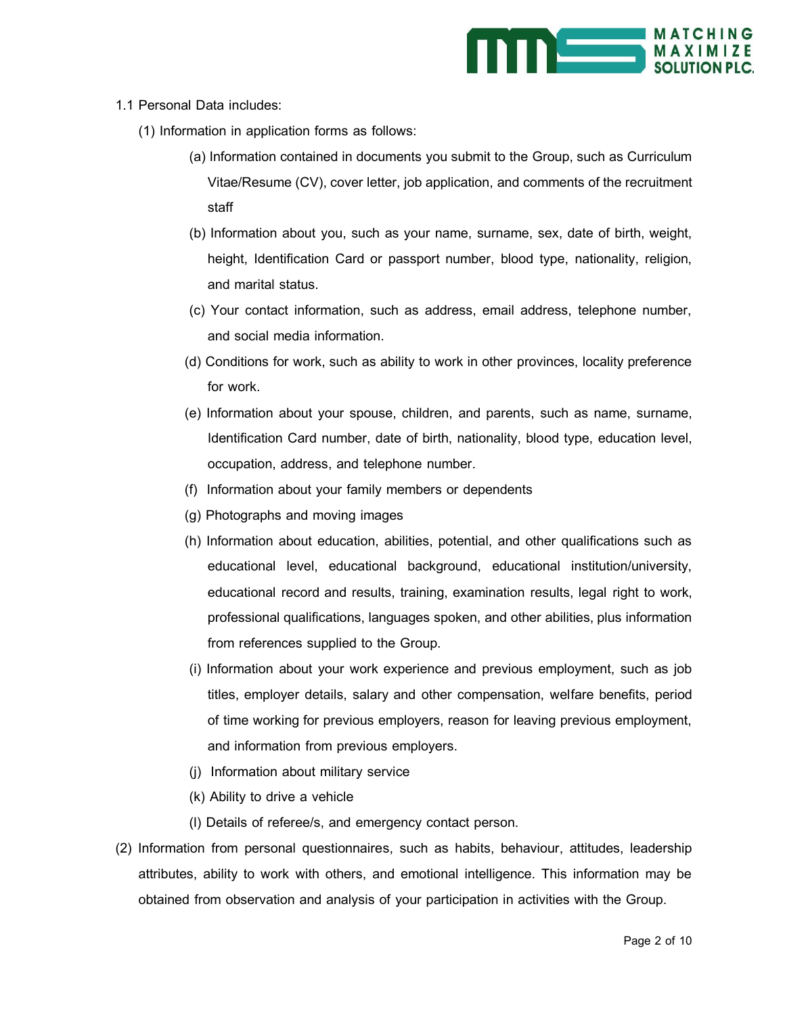

#### 1.1 Personal Data includes:

- (1) Information in application forms as follows:
	- (a) Information contained in documents you submit to the Group, such as Curriculum Vitae/Resume (CV), cover letter, job application, and comments of the recruitment staff
	- (b) Information about you, such as your name, surname, sex, date of birth, weight, height, Identification Card or passport number, blood type, nationality, religion, and marital status.
	- (c) Your contact information, such as address, email address, telephone number, and social media information.
	- (d) Conditions for work, such as ability to work in other provinces, locality preference for work.
	- (e) Information about your spouse, children, and parents, such as name, surname, Identification Card number, date of birth, nationality, blood type, education level, occupation, address, and telephone number.
	- (f) Information about your family members or dependents
	- (g) Photographs and moving images
	- (h) Information about education, abilities, potential, and other qualifications such as educational level, educational background, educational institution/university, educational record and results, training, examination results, legal right to work, professional qualifications, languages spoken, and other abilities, plus information from references supplied to the Group.
	- (i) Information about your work experience and previous employment, such as job titles, employer details, salary and other compensation, welfare benefits, period of time working for previous employers, reason for leaving previous employment, and information from previous employers.
	- (j) Information about military service
	- (k) Ability to drive a vehicle
	- (l) Details of referee/s, and emergency contact person.
- (2) Information from personal questionnaires, such as habits, behaviour, attitudes, leadership attributes, ability to work with others, and emotional intelligence. This information may be obtained from observation and analysis of your participation in activities with the Group.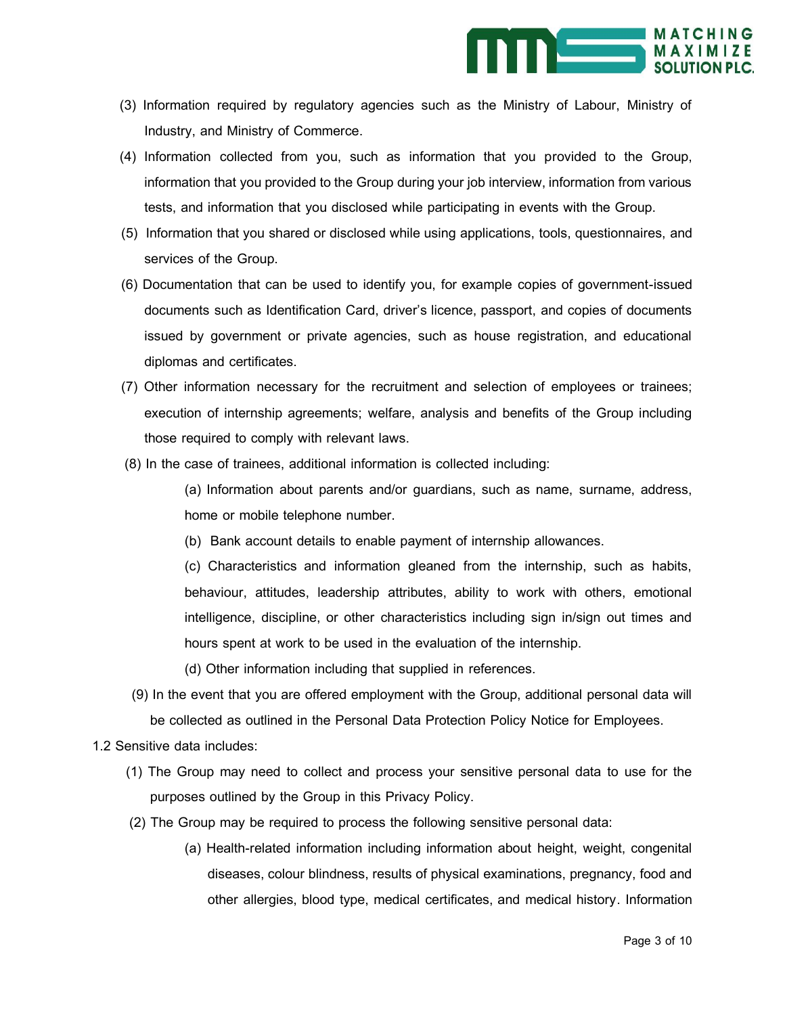

- (3) Information required by regulatory agencies such as the Ministry of Labour, Ministry of Industry, and Ministry of Commerce.
- (4) Information collected from you, such as information that you provided to the Group, information that you provided to the Group during your job interview, information from various tests, and information that you disclosed while participating in events with the Group.
- (5) Information that you shared or disclosed while using applications, tools, questionnaires, and services of the Group.
- (6) Documentation that can be used to identify you, for example copies of government-issued documents such as Identification Card, driver's licence, passport, and copies of documents issued by government or private agencies, such as house registration, and educational diplomas and certificates.
- (7) Other information necessary for the recruitment and selection of employees or trainees; execution of internship agreements; welfare, analysis and benefits of the Group including those required to comply with relevant laws.
- (8) In the case of trainees, additional information is collected including:

(a) Information about parents and/or guardians, such as name, surname, address, home or mobile telephone number.

(b) Bank account details to enable payment of internship allowances.

(c) Characteristics and information gleaned from the internship, such as habits, behaviour, attitudes, leadership attributes, ability to work with others, emotional intelligence, discipline, or other characteristics including sign in/sign out times and hours spent at work to be used in the evaluation of the internship.

- (d) Other information including that supplied in references.
- (9) In the event that you are offered employment with the Group, additional personal data will be collected as outlined in the Personal Data Protection Policy Notice for Employees.
- 1.2 Sensitive data includes:
	- (1) The Group may need to collect and process your sensitive personal data to use for the purposes outlined by the Group in this Privacy Policy.
	- (2) The Group may be required to process the following sensitive personal data:
		- (a) Health-related information including information about height, weight, congenital diseases, colour blindness, results of physical examinations, pregnancy, food and other allergies, blood type, medical certificates, and medical history. Information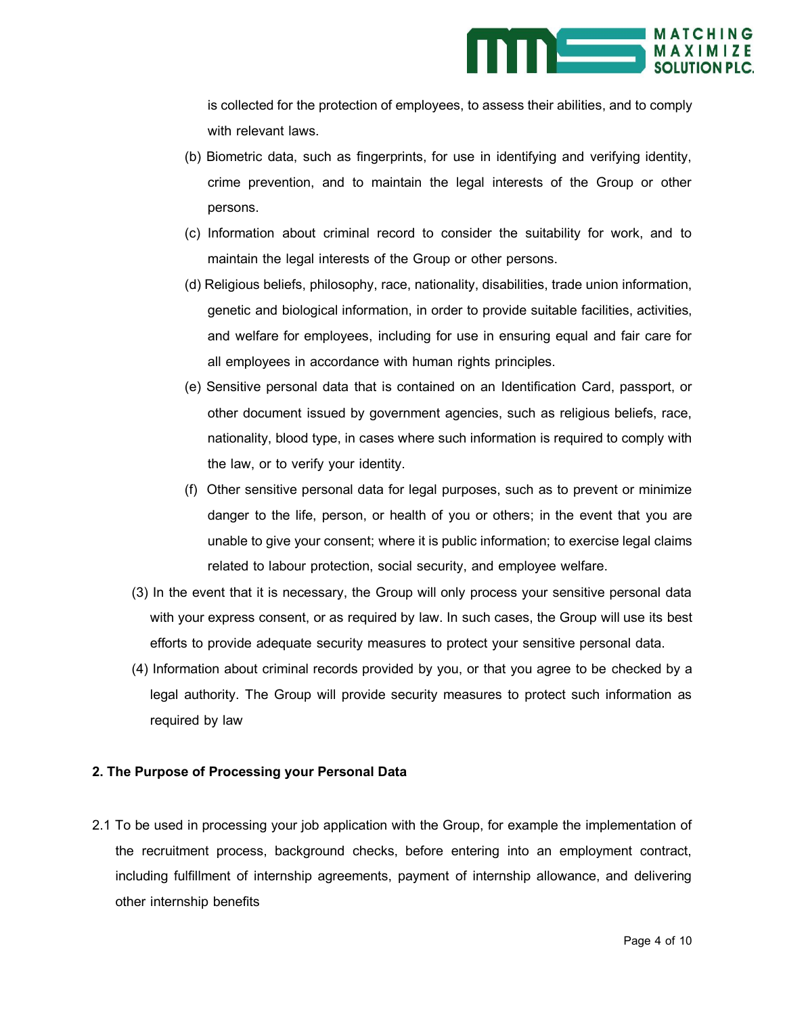

is collected for the protection of employees, to assess their abilities, and to comply with relevant laws.

- (b) Biometric data, such as fingerprints, for use in identifying and verifying identity, crime prevention, and to maintain the legal interests of the Group or other persons.
- (c) Information about criminal record to consider the suitability for work, and to maintain the legal interests of the Group or other persons.
- (d) Religious beliefs, philosophy, race, nationality, disabilities, trade union information, genetic and biological information, in order to provide suitable facilities, activities, and welfare for employees, including for use in ensuring equal and fair care for all employees in accordance with human rights principles.
- (e) Sensitive personal data that is contained on an Identification Card, passport, or other document issued by government agencies, such as religious beliefs, race, nationality, blood type, in cases where such information is required to comply with the law, or to verify your identity.
- (f) Other sensitive personal data for legal purposes, such as to prevent or minimize danger to the life, person, or health of you or others; in the event that you are unable to give your consent; where it is public information; to exercise legal claims related to labour protection, social security, and employee welfare.
- (3) In the event that it is necessary, the Group will only process your sensitive personal data with your express consent, or as required by law. In such cases, the Group will use its best efforts to provide adequate security measures to protect your sensitive personal data.
- (4) Information about criminal records provided by you, or that you agree to be checked by a legal authority. The Group will provide security measures to protect such information as required by law

#### **2. The Purpose of Processing your Personal Data**

2.1 To be used in processing your job application with the Group, for example the implementation of the recruitment process, background checks, before entering into an employment contract, including fulfillment of internship agreements, payment of internship allowance, and delivering other internship benefits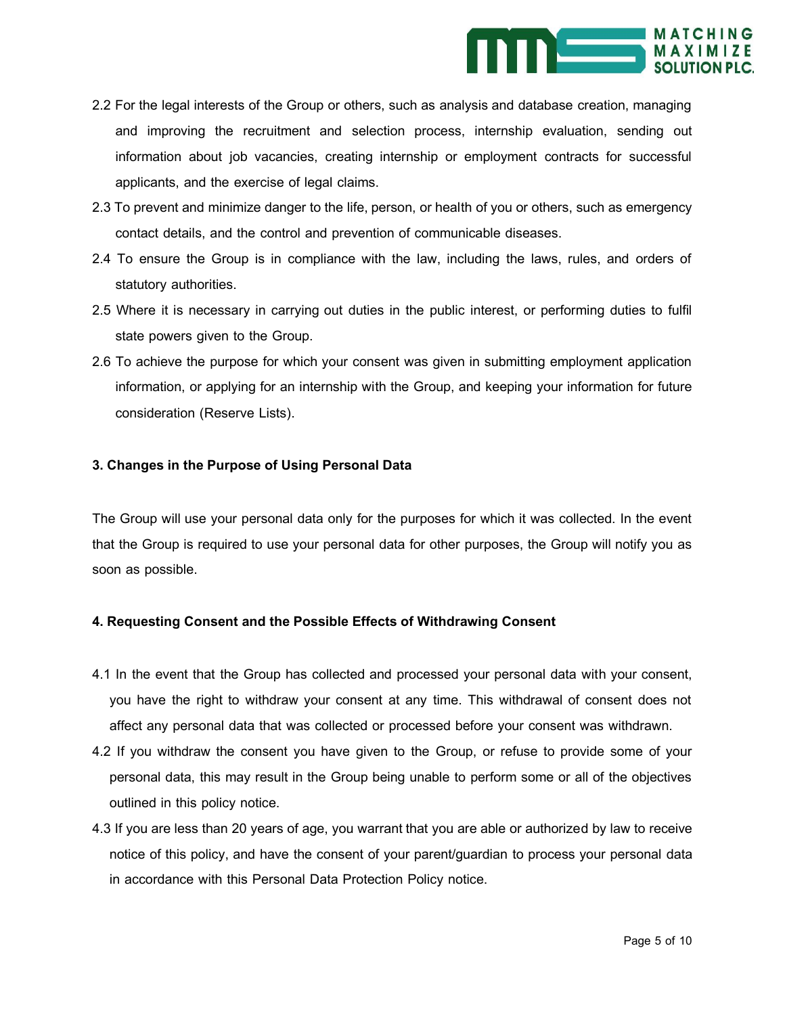

- 2.2 For the legal interests of the Group or others, such as analysis and database creation, managing and improving the recruitment and selection process, internship evaluation, sending out information about job vacancies, creating internship or employment contracts for successful applicants, and the exercise of legal claims.
- 2.3 To prevent and minimize danger to the life, person, or health of you or others, such as emergency contact details, and the control and prevention of communicable diseases.
- 2.4 To ensure the Group is in compliance with the law, including the laws, rules, and orders of statutory authorities.
- 2.5 Where it is necessary in carrying out duties in the public interest, or performing duties to fulfil state powers given to the Group.
- 2.6 To achieve the purpose for which your consent was given in submitting employment application information, or applying for an internship with the Group, and keeping your information for future consideration (Reserve Lists).

## **3. Changes in the Purpose of Using Personal Data**

The Group will use your personal data only for the purposes for which it was collected. In the event that the Group is required to use your personal data for other purposes, the Group will notify you as soon as possible.

# **4. Requesting Consent and the Possible Effects of Withdrawing Consent**

- 4.1 In the event that the Group has collected and processed your personal data with your consent, you have the right to withdraw your consent at any time. This withdrawal of consent does not affect any personal data that was collected or processed before your consent was withdrawn.
- 4.2 If you withdraw the consent you have given to the Group, or refuse to provide some of your personal data, this may result in the Group being unable to perform some or all of the objectives outlined in this policy notice.
- 4.3 If you are less than 20 years of age, you warrant that you are able or authorized by law to receive notice of this policy, and have the consent of your parent/guardian to process your personal data in accordance with this Personal Data Protection Policy notice.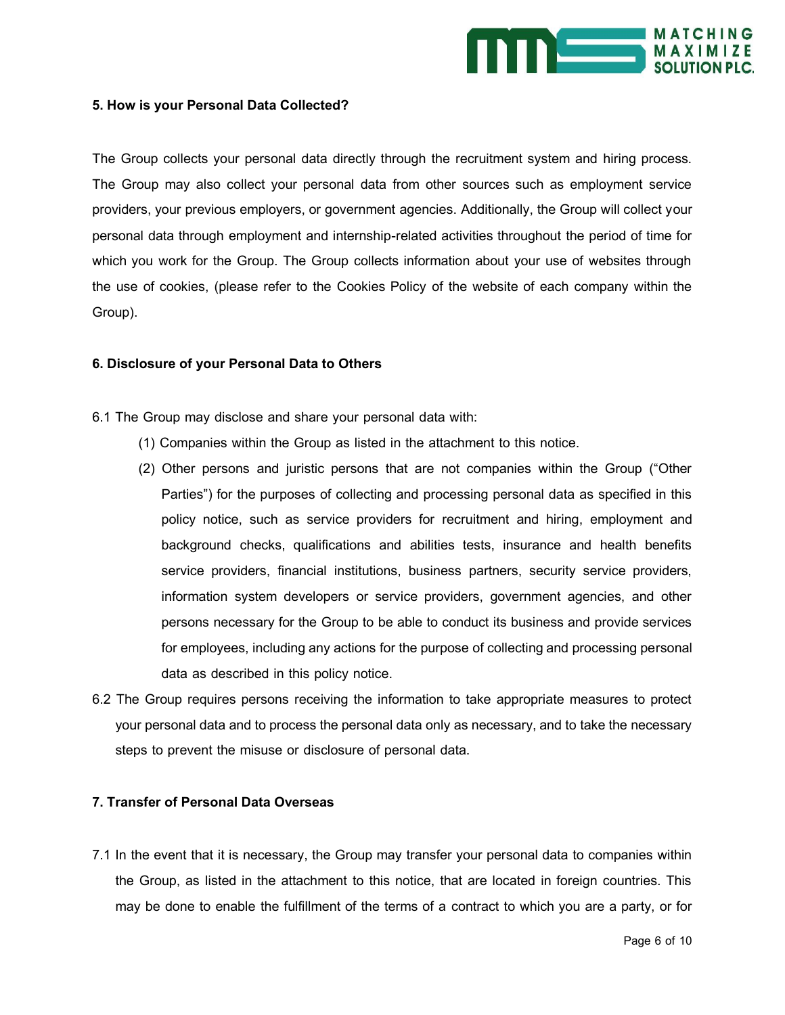

#### **5. How is your Personal Data Collected?**

The Group collects your personal data directly through the recruitment system and hiring process. The Group may also collect your personal data from other sources such as employment service providers, your previous employers, or government agencies. Additionally, the Group will collect your personal data through employment and internship-related activities throughout the period of time for which you work for the Group. The Group collects information about your use of websites through the use of cookies, (please refer to the Cookies Policy of the website of each company within the Group).

#### **6. Disclosure of your Personal Data to Others**

- 6.1 The Group may disclose and share your personal data with:
	- (1) Companies within the Group as listed in the attachment to this notice.
	- (2) Other persons and juristic persons that are not companies within the Group ("Other Parties") for the purposes of collecting and processing personal data as specified in this policy notice, such as service providers for recruitment and hiring, employment and background checks, qualifications and abilities tests, insurance and health benefits service providers, financial institutions, business partners, security service providers, information system developers or service providers, government agencies, and other persons necessary for the Group to be able to conduct its business and provide services for employees, including any actions for the purpose of collecting and processing personal data as described in this policy notice.
- 6.2 The Group requires persons receiving the information to take appropriate measures to protect your personal data and to process the personal data only as necessary, and to take the necessary steps to prevent the misuse or disclosure of personal data.

#### **7. Transfer of Personal Data Overseas**

7.1 In the event that it is necessary, the Group may transfer your personal data to companies within the Group, as listed in the attachment to this notice, that are located in foreign countries. This may be done to enable the fulfillment of the terms of a contract to which you are a party, or for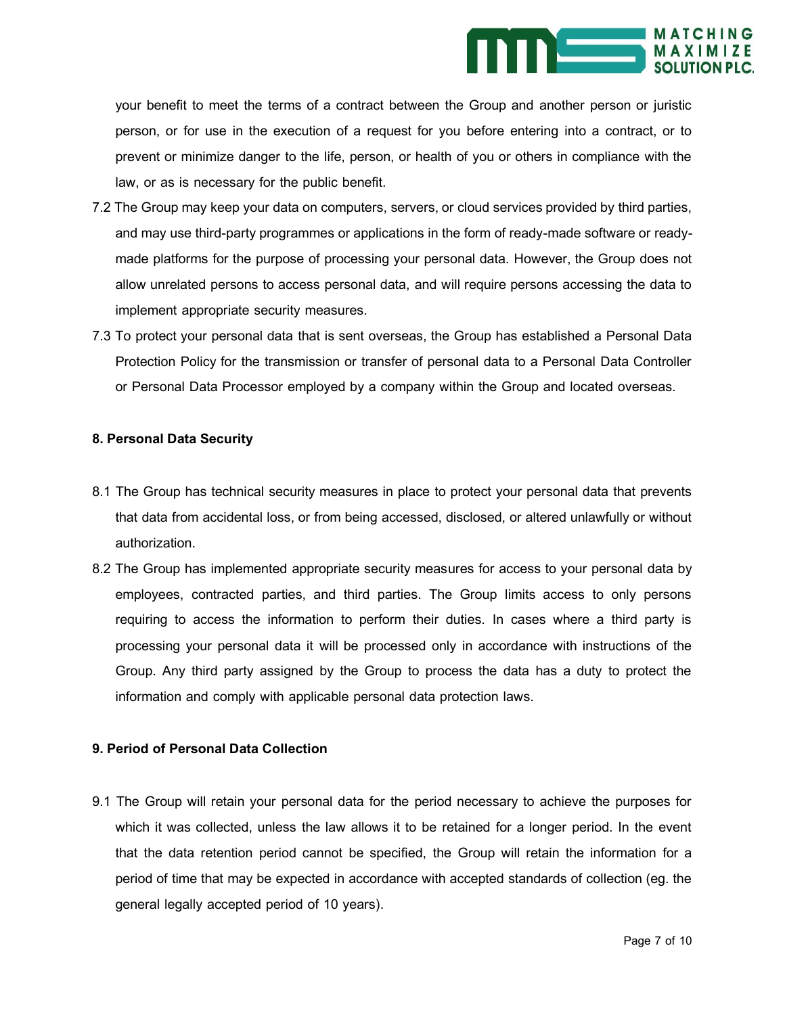

your benefit to meet the terms of a contract between the Group and another person or juristic person, or for use in the execution of a request for you before entering into a contract, or to prevent or minimize danger to the life, person, or health of you or others in compliance with the law, or as is necessary for the public benefit.

- 7.2 The Group may keep your data on computers, servers, or cloud services provided by third parties, and may use third-party programmes or applications in the form of ready-made software or readymade platforms for the purpose of processing your personal data. However, the Group does not allow unrelated persons to access personal data, and will require persons accessing the data to implement appropriate security measures.
- 7.3 To protect your personal data that is sent overseas, the Group has established a Personal Data Protection Policy for the transmission or transfer of personal data to a Personal Data Controller or Personal Data Processor employed by a company within the Group and located overseas.

#### **8. Personal Data Security**

- 8.1 The Group has technical security measures in place to protect your personal data that prevents that data from accidental loss, or from being accessed, disclosed, or altered unlawfully or without authorization.
- 8.2 The Group has implemented appropriate security measures for access to your personal data by employees, contracted parties, and third parties. The Group limits access to only persons requiring to access the information to perform their duties. In cases where a third party is processing your personal data it will be processed only in accordance with instructions of the Group. Any third party assigned by the Group to process the data has a duty to protect the information and comply with applicable personal data protection laws.

### **9. Period of Personal Data Collection**

9.1 The Group will retain your personal data for the period necessary to achieve the purposes for which it was collected, unless the law allows it to be retained for a longer period. In the event that the data retention period cannot be specified, the Group will retain the information for a period of time that may be expected in accordance with accepted standards of collection (eg. the general legally accepted period of 10 years).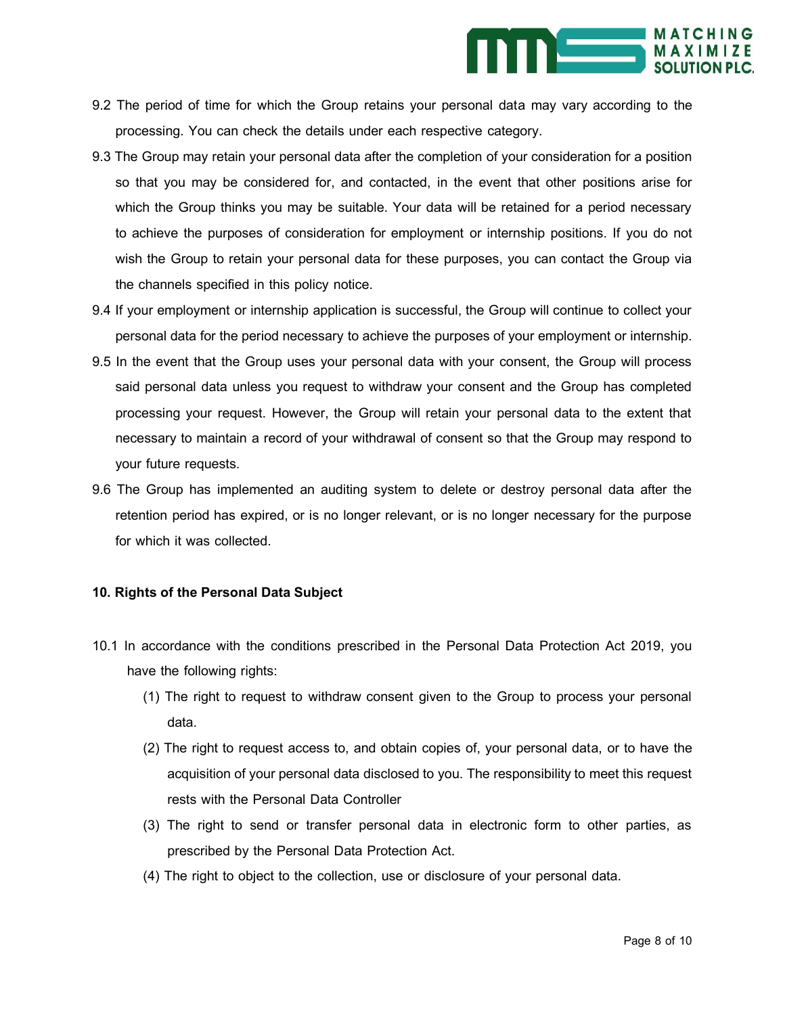

- 9.2 The period of time for which the Group retains your personal data may vary according to the processing. You can check the details under each respective category.
- 9.3 The Group may retain your personal data after the completion of your consideration for a position so that you may be considered for, and contacted, in the event that other positions arise for which the Group thinks you may be suitable. Your data will be retained for a period necessary to achieve the purposes of consideration for employment or internship positions. If you do not wish the Group to retain your personal data for these purposes, you can contact the Group via the channels specified in this policy notice.
- 9.4 If your employment or internship application is successful, the Group will continue to collect your personal data for the period necessary to achieve the purposes of your employment or internship.
- 9.5 In the event that the Group uses your personal data with your consent, the Group will process said personal data unless you request to withdraw your consent and the Group has completed processing your request. However, the Group will retain your personal data to the extent that necessary to maintain a record of your withdrawal of consent so that the Group may respond to your future requests.
- 9.6 The Group has implemented an auditing system to delete or destroy personal data after the retention period has expired, or is no longer relevant, or is no longer necessary for the purpose for which it was collected.

#### **10. Rights of the Personal Data Subject**

- 10.1 In accordance with the conditions prescribed in the Personal Data Protection Act 2019, you have the following rights:
	- (1) The right to request to withdraw consent given to the Group to process your personal data.
	- (2) The right to request access to, and obtain copies of, your personal data, or to have the acquisition of your personal data disclosed to you. The responsibility to meet this request rests with the Personal Data Controller
	- (3) The right to send or transfer personal data in electronic form to other parties, as prescribed by the Personal Data Protection Act.
	- (4) The right to object to the collection, use or disclosure of your personal data.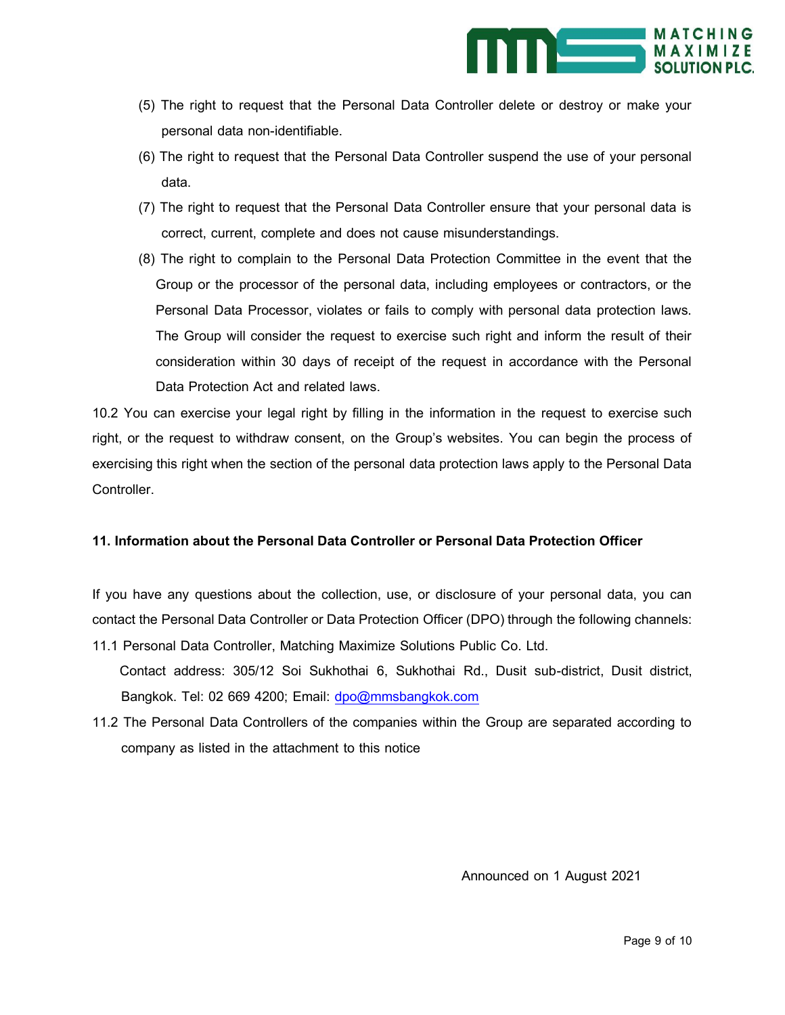

- (5) The right to request that the Personal Data Controller delete or destroy or make your personal data non-identifiable.
- (6) The right to request that the Personal Data Controller suspend the use of your personal data.
- (7) The right to request that the Personal Data Controller ensure that your personal data is correct, current, complete and does not cause misunderstandings.
- (8) The right to complain to the Personal Data Protection Committee in the event that the Group or the processor of the personal data, including employees or contractors, or the Personal Data Processor, violates or fails to comply with personal data protection laws. The Group will consider the request to exercise such right and inform the result of their consideration within 30 days of receipt of the request in accordance with the Personal Data Protection Act and related laws.

10.2 You can exercise your legal right by filling in the information in the request to exercise such right, or the request to withdraw consent, on the Group's websites. You can begin the process of exercising this right when the section of the personal data protection laws apply to the Personal Data Controller.

# **11. Information about the Personal Data Controller or Personal Data Protection Officer**

If you have any questions about the collection, use, or disclosure of your personal data, you can contact the Personal Data Controller or Data Protection Officer (DPO) through the following channels:

- 11.1 Personal Data Controller, Matching Maximize Solutions Public Co. Ltd. Contact address: 305/12 Soi Sukhothai 6, Sukhothai Rd., Dusit sub-district, Dusit district, Bangkok. Tel: 02 669 4200; Email: [dpo@mmsbangkok.com](mailto:dpo@mmsbangkok.com)
- 11.2 The Personal Data Controllers of the companies within the Group are separated according to company as listed in the attachment to this notice

Announced on 1 August 2021